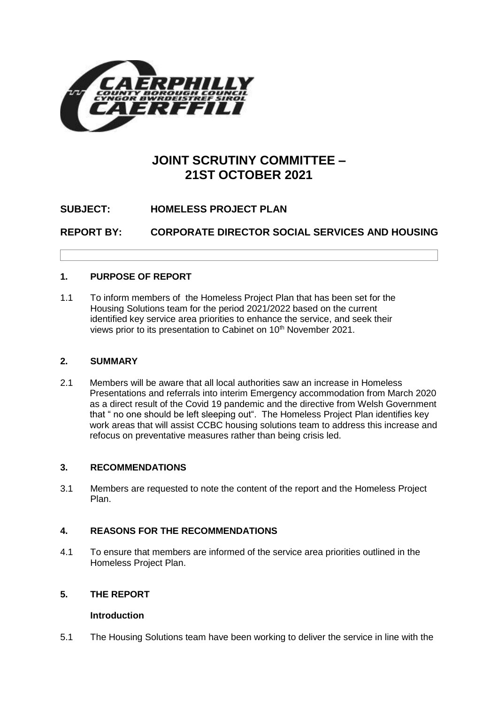

### **JOINT SCRUTINY COMMITTEE – 21ST OCTOBER 2021**

#### **SUBJECT: HOMELESS PROJECT PLAN**

**REPORT BY: CORPORATE DIRECTOR SOCIAL SERVICES AND HOUSING** 

#### **1. PURPOSE OF REPORT**

1.1 To inform members of the Homeless Project Plan that has been set for the Housing Solutions team for the period 2021/2022 based on the current identified key service area priorities to enhance the service, and seek their views prior to its presentation to Cabinet on 10<sup>th</sup> November 2021.

#### **2. SUMMARY**

2.1 Members will be aware that all local authorities saw an increase in Homeless Presentations and referrals into interim Emergency accommodation from March 2020 as a direct result of the Covid 19 pandemic and the directive from Welsh Government that " no one should be left sleeping out". The Homeless Project Plan identifies key work areas that will assist CCBC housing solutions team to address this increase and refocus on preventative measures rather than being crisis led.

#### **3. RECOMMENDATIONS**

3.1 Members are requested to note the content of the report and the Homeless Project Plan.

#### **4. REASONS FOR THE RECOMMENDATIONS**

4.1 To ensure that members are informed of the service area priorities outlined in the Homeless Project Plan.

#### **5. THE REPORT**

#### **Introduction**

5.1 The Housing Solutions team have been working to deliver the service in line with the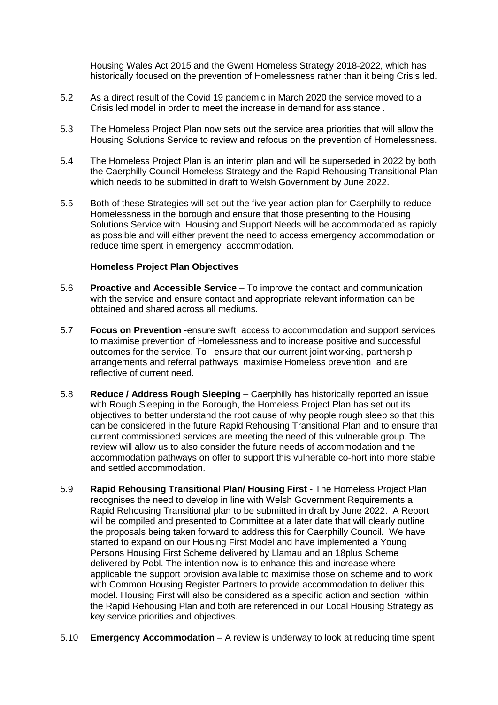Housing Wales Act 2015 and the Gwent Homeless Strategy 2018-2022, which has historically focused on the prevention of Homelessness rather than it being Crisis led.

- 5.2 As a direct result of the Covid 19 pandemic in March 2020 the service moved to a Crisis led model in order to meet the increase in demand for assistance .
- 5.3 The Homeless Project Plan now sets out the service area priorities that will allow the Housing Solutions Service to review and refocus on the prevention of Homelessness.
- 5.4 The Homeless Project Plan is an interim plan and will be superseded in 2022 by both the Caerphilly Council Homeless Strategy and the Rapid Rehousing Transitional Plan which needs to be submitted in draft to Welsh Government by June 2022.
- 5.5 Both of these Strategies will set out the five year action plan for Caerphilly to reduce Homelessness in the borough and ensure that those presenting to the Housing Solutions Service with Housing and Support Needs will be accommodated as rapidly as possible and will either prevent the need to access emergency accommodation or reduce time spent in emergency accommodation.

#### **Homeless Project Plan Objectives**

- 5.6 **Proactive and Accessible Service** To improve the contact and communication with the service and ensure contact and appropriate relevant information can be obtained and shared across all mediums.
- 5.7 **Focus on Prevention** -ensure swift access to accommodation and support services to maximise prevention of Homelessness and to increase positive and successful outcomes for the service. To ensure that our current joint working, partnership arrangements and referral pathways maximise Homeless prevention and are reflective of current need.
- 5.8 **Reduce / Address Rough Sleeping** Caerphilly has historically reported an issue with Rough Sleeping in the Borough, the Homeless Project Plan has set out its objectives to better understand the root cause of why people rough sleep so that this can be considered in the future Rapid Rehousing Transitional Plan and to ensure that current commissioned services are meeting the need of this vulnerable group. The review will allow us to also consider the future needs of accommodation and the accommodation pathways on offer to support this vulnerable co-hort into more stable and settled accommodation.
- 5.9 **Rapid Rehousing Transitional Plan/ Housing First** The Homeless Project Plan recognises the need to develop in line with Welsh Government Requirements a Rapid Rehousing Transitional plan to be submitted in draft by June 2022. A Report will be compiled and presented to Committee at a later date that will clearly outline the proposals being taken forward to address this for Caerphilly Council. We have started to expand on our Housing First Model and have implemented a Young Persons Housing First Scheme delivered by Llamau and an 18plus Scheme delivered by Pobl. The intention now is to enhance this and increase where applicable the support provision available to maximise those on scheme and to work with Common Housing Register Partners to provide accommodation to deliver this model. Housing First will also be considered as a specific action and section within the Rapid Rehousing Plan and both are referenced in our Local Housing Strategy as key service priorities and objectives.
- 5.10 **Emergency Accommodation** A review is underway to look at reducing time spent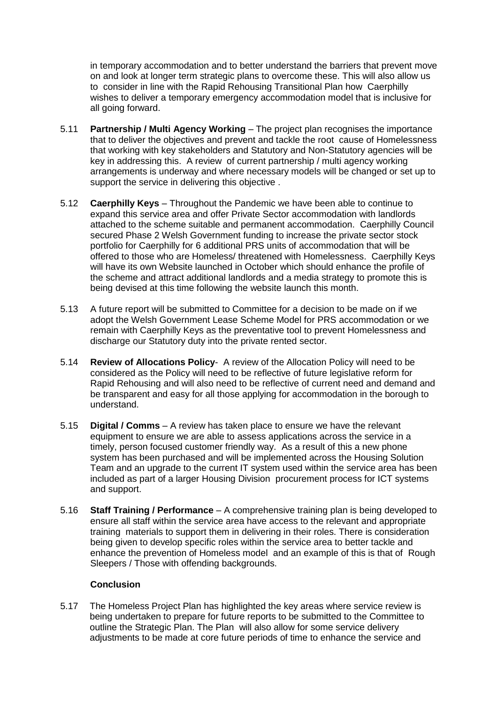in temporary accommodation and to better understand the barriers that prevent move on and look at longer term strategic plans to overcome these. This will also allow us to consider in line with the Rapid Rehousing Transitional Plan how Caerphilly wishes to deliver a temporary emergency accommodation model that is inclusive for all going forward.

- 5.11 **Partnership / Multi Agency Working** The project plan recognises the importance that to deliver the objectives and prevent and tackle the root cause of Homelessness that working with key stakeholders and Statutory and Non-Statutory agencies will be key in addressing this. A review of current partnership / multi agency working arrangements is underway and where necessary models will be changed or set up to support the service in delivering this objective .
- 5.12 **Caerphilly Keys** Throughout the Pandemic we have been able to continue to expand this service area and offer Private Sector accommodation with landlords attached to the scheme suitable and permanent accommodation. Caerphilly Council secured Phase 2 Welsh Government funding to increase the private sector stock portfolio for Caerphilly for 6 additional PRS units of accommodation that will be offered to those who are Homeless/ threatened with Homelessness. Caerphilly Keys will have its own Website launched in October which should enhance the profile of the scheme and attract additional landlords and a media strategy to promote this is being devised at this time following the website launch this month.
- 5.13 A future report will be submitted to Committee for a decision to be made on if we adopt the Welsh Government Lease Scheme Model for PRS accommodation or we remain with Caerphilly Keys as the preventative tool to prevent Homelessness and discharge our Statutory duty into the private rented sector.
- 5.14 **Review of Allocations Policy** A review of the Allocation Policy will need to be considered as the Policy will need to be reflective of future legislative reform for Rapid Rehousing and will also need to be reflective of current need and demand and be transparent and easy for all those applying for accommodation in the borough to understand.
- 5.15 **Digital / Comms** A review has taken place to ensure we have the relevant equipment to ensure we are able to assess applications across the service in a timely, person focused customer friendly way. As a result of this a new phone system has been purchased and will be implemented across the Housing Solution Team and an upgrade to the current IT system used within the service area has been included as part of a larger Housing Division procurement process for ICT systems and support.
- 5.16 **Staff Training / Performance** A comprehensive training plan is being developed to ensure all staff within the service area have access to the relevant and appropriate training materials to support them in delivering in their roles. There is consideration being given to develop specific roles within the service area to better tackle and enhance the prevention of Homeless model and an example of this is that of Rough Sleepers / Those with offending backgrounds.

#### **Conclusion**

5.17 The Homeless Project Plan has highlighted the key areas where service review is being undertaken to prepare for future reports to be submitted to the Committee to outline the Strategic Plan. The Plan will also allow for some service delivery adjustments to be made at core future periods of time to enhance the service and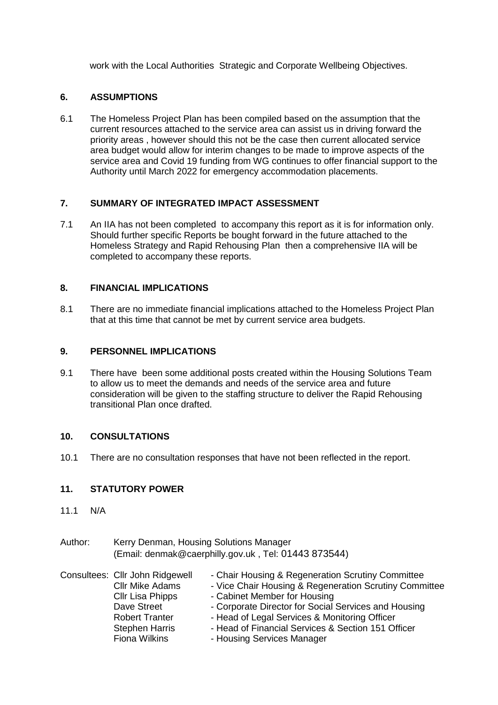work with the Local Authorities Strategic and Corporate Wellbeing Objectives.

#### **6. ASSUMPTIONS**

6.1 The Homeless Project Plan has been compiled based on the assumption that the current resources attached to the service area can assist us in driving forward the priority areas , however should this not be the case then current allocated service area budget would allow for interim changes to be made to improve aspects of the service area and Covid 19 funding from WG continues to offer financial support to the Authority until March 2022 for emergency accommodation placements.

#### **7. SUMMARY OF INTEGRATED IMPACT ASSESSMENT**

7.1 An IIA has not been completed to accompany this report as it is for information only. Should further specific Reports be bought forward in the future attached to the Homeless Strategy and Rapid Rehousing Plan then a comprehensive IIA will be completed to accompany these reports.

#### **8. FINANCIAL IMPLICATIONS**

8.1 There are no immediate financial implications attached to the Homeless Project Plan that at this time that cannot be met by current service area budgets.

#### **9. PERSONNEL IMPLICATIONS**

9.1 There have been some additional posts created within the Housing Solutions Team to allow us to meet the demands and needs of the service area and future consideration will be given to the staffing structure to deliver the Rapid Rehousing transitional Plan once drafted.

#### **10. CONSULTATIONS**

10.1 There are no consultation responses that have not been reflected in the report.

#### **11. STATUTORY POWER**

- 11.1 N/A
- Author: Kerry Denman, Housing Solutions Manager (Email: [denmak@caerphilly.gov.uk](mailto:denmak@caerphilly.gov.uk) , Tel: 01443 873544)

|  | Consultees: Cllr John Ridgewell | - Chair Housing & Regeneration Scrutiny Committee      |
|--|---------------------------------|--------------------------------------------------------|
|  | <b>Cllr Mike Adams</b>          | - Vice Chair Housing & Regeneration Scrutiny Committee |
|  | Cllr Lisa Phipps                | - Cabinet Member for Housing                           |
|  | Dave Street                     | - Corporate Director for Social Services and Housing   |
|  | <b>Robert Tranter</b>           | - Head of Legal Services & Monitoring Officer          |
|  | <b>Stephen Harris</b>           | - Head of Financial Services & Section 151 Officer     |
|  | <b>Fiona Wilkins</b>            | - Housing Services Manager                             |